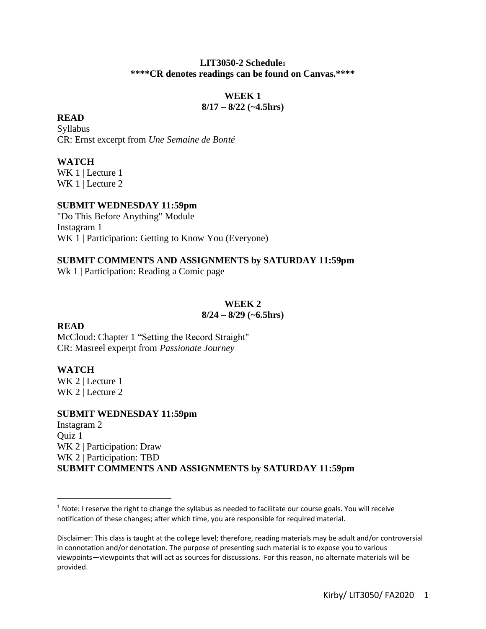#### **LIT3050-2 Schedule<sup>1</sup> \*\*\*\*CR denotes readings can be found on Canvas.\*\*\*\***

### **WEEK 1 8/17 – 8/22 (~4.5hrs)**

### **READ**

Syllabus CR: Ernst excerpt from *Une Semaine de Bonté*

# **WATCH**

WK 1 | Lecture 1 WK 1 | Lecture 2

# **SUBMIT WEDNESDAY 11:59pm**

"Do This Before Anything" Module Instagram 1 WK 1 | Participation: Getting to Know You (Everyone)

# **SUBMIT COMMENTS AND ASSIGNMENTS by SATURDAY 11:59pm**

Wk 1 | Participation: Reading a Comic page

#### **WEEK 2 8/24 – 8/29 (~6.5hrs)**

# **READ**

McCloud: Chapter 1 "Setting the Record Straight" CR: Masreel experpt from *Passionate Journey*

# **WATCH**

WK 2 | Lecture 1 WK 2 | Lecture 2

#### **SUBMIT WEDNESDAY 11:59pm**

Instagram 2 Quiz 1 WK 2 | Participation: Draw WK 2 | Participation: TBD **SUBMIT COMMENTS AND ASSIGNMENTS by SATURDAY 11:59pm**

 $1$  Note: I reserve the right to change the syllabus as needed to facilitate our course goals. You will receive notification of these changes; after which time, you are responsible for required material.

Disclaimer: This class is taught at the college level; therefore, reading materials may be adult and/or controversial in connotation and/or denotation. The purpose of presenting such material is to expose you to various viewpoints—viewpoints that will act as sources for discussions. For this reason, no alternate materials will be provided.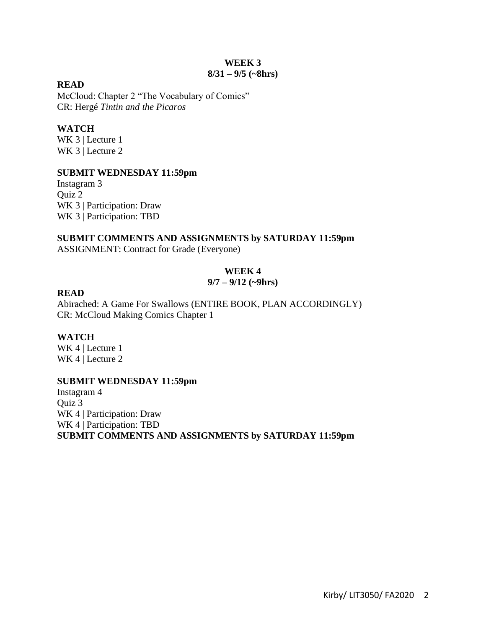#### **WEEK 3 8/31 – 9/5 (~8hrs)**

#### **READ**

McCloud: Chapter 2 "The Vocabulary of Comics" CR: Hergé *Tintin and the Picaros*

# **WATCH**

WK 3 | Lecture 1 WK 3 | Lecture 2

# **SUBMIT WEDNESDAY 11:59pm**

Instagram 3 Quiz 2 WK 3 | Participation: Draw WK 3 | Participation: TBD

# **SUBMIT COMMENTS AND ASSIGNMENTS by SATURDAY 11:59pm**

ASSIGNMENT: Contract for Grade (Everyone)

# **WEEK 4**

### **9/7 – 9/12 (~9hrs)**

# **READ**

Abirached: A Game For Swallows (ENTIRE BOOK, PLAN ACCORDINGLY) CR: McCloud Making Comics Chapter 1

# **WATCH**

WK 4 | Lecture 1 WK 4 | Lecture 2

# **SUBMIT WEDNESDAY 11:59pm**

Instagram 4 Quiz 3 WK 4 | Participation: Draw WK 4 | Participation: TBD **SUBMIT COMMENTS AND ASSIGNMENTS by SATURDAY 11:59pm**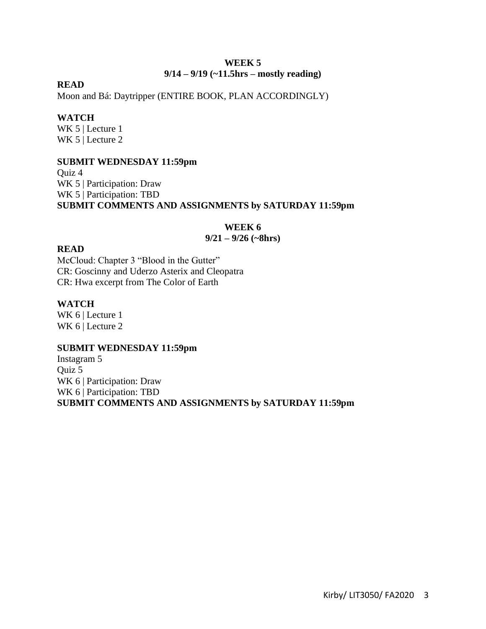### **WEEK 5 9/14 – 9/19 (~11.5hrs – mostly reading)**

### **READ**

Moon and Bá: Daytripper (ENTIRE BOOK, PLAN ACCORDINGLY)

### **WATCH**

WK 5 | Lecture 1 WK 5 | Lecture 2

### **SUBMIT WEDNESDAY 11:59pm**

Quiz 4 WK 5 | Participation: Draw WK 5 | Participation: TBD **SUBMIT COMMENTS AND ASSIGNMENTS by SATURDAY 11:59pm**

# **WEEK 6**

### **9/21 – 9/26 (~8hrs)**

### **READ**

McCloud: Chapter 3 "Blood in the Gutter" CR: Goscinny and Uderzo Asterix and Cleopatra CR: Hwa excerpt from The Color of Earth

### **WATCH**

WK 6 | Lecture 1 WK 6 | Lecture 2

# **SUBMIT WEDNESDAY 11:59pm**

Instagram 5 Quiz 5 WK 6 | Participation: Draw WK 6 | Participation: TBD **SUBMIT COMMENTS AND ASSIGNMENTS by SATURDAY 11:59pm**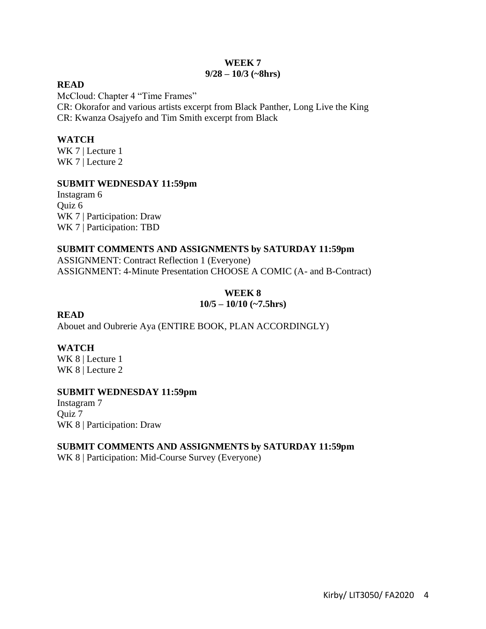#### **WEEK 7 9/28 – 10/3 (~8hrs)**

#### **READ**

McCloud: Chapter 4 "Time Frames" CR: Okorafor and various artists excerpt from Black Panther, Long Live the King CR: Kwanza Osajyefo and Tim Smith excerpt from Black

# **WATCH**

WK 7 | Lecture 1 WK 7 | Lecture 2

# **SUBMIT WEDNESDAY 11:59pm**

Instagram 6 Quiz 6 WK 7 | Participation: Draw WK 7 | Participation: TBD

### **SUBMIT COMMENTS AND ASSIGNMENTS by SATURDAY 11:59pm**

ASSIGNMENT: Contract Reflection 1 (Everyone) ASSIGNMENT: 4-Minute Presentation CHOOSE A COMIC (A- and B-Contract)

# **WEEK 8 10/5 – 10/10 (~7.5hrs)**

# **READ**

Abouet and Oubrerie Aya (ENTIRE BOOK, PLAN ACCORDINGLY)

# **WATCH**

WK 8 | Lecture 1 WK 8 | Lecture 2

# **SUBMIT WEDNESDAY 11:59pm**

Instagram 7 Quiz 7 WK 8 | Participation: Draw

# **SUBMIT COMMENTS AND ASSIGNMENTS by SATURDAY 11:59pm**

WK 8 | Participation: Mid-Course Survey (Everyone)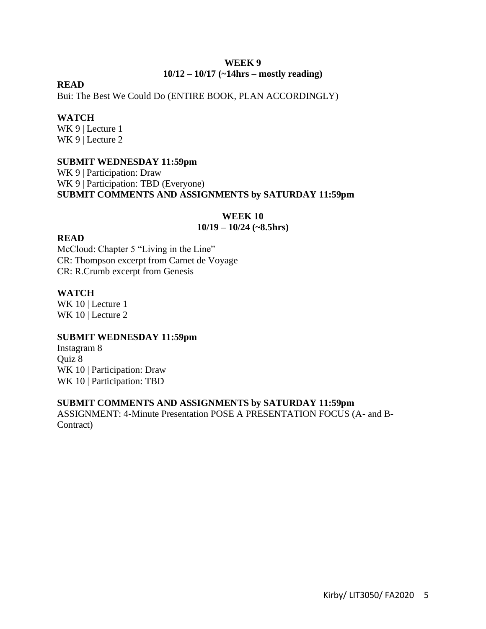#### **WEEK 9 10/12 – 10/17 (~14hrs – mostly reading)**

### **READ**

Bui: The Best We Could Do (ENTIRE BOOK, PLAN ACCORDINGLY)

#### **WATCH**

WK 9 | Lecture 1 WK 9 | Lecture 2

### **SUBMIT WEDNESDAY 11:59pm**

WK 9 | Participation: Draw WK 9 | Participation: TBD (Everyone) **SUBMIT COMMENTS AND ASSIGNMENTS by SATURDAY 11:59pm**

#### **WEEK 10**

# **10/19 – 10/24 (~8.5hrs)**

# **READ**

McCloud: Chapter 5 "Living in the Line" CR: Thompson excerpt from Carnet de Voyage CR: R.Crumb excerpt from Genesis

#### **WATCH**

WK 10 | Lecture 1 WK 10 | Lecture 2

#### **SUBMIT WEDNESDAY 11:59pm**

Instagram 8 Quiz 8 WK 10 | Participation: Draw WK 10 | Participation: TBD

#### **SUBMIT COMMENTS AND ASSIGNMENTS by SATURDAY 11:59pm**

ASSIGNMENT: 4-Minute Presentation POSE A PRESENTATION FOCUS (A- and B-Contract)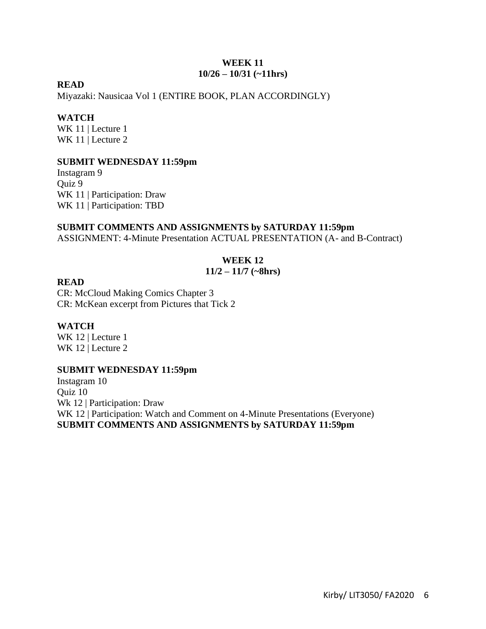#### **WEEK 11 10/26 – 10/31 (~11hrs)**

### **READ**

Miyazaki: Nausicaa Vol 1 (ENTIRE BOOK, PLAN ACCORDINGLY)

#### **WATCH**

WK 11 | Lecture 1 WK 11 | Lecture 2

#### **SUBMIT WEDNESDAY 11:59pm**

Instagram 9 Quiz 9 WK 11 | Participation: Draw WK 11 | Participation: TBD

#### **SUBMIT COMMENTS AND ASSIGNMENTS by SATURDAY 11:59pm**

ASSIGNMENT: 4-Minute Presentation ACTUAL PRESENTATION (A- and B-Contract)

### **WEEK 12**

### **11/2 – 11/7 (~8hrs)**

#### **READ**

CR: McCloud Making Comics Chapter 3 CR: McKean excerpt from Pictures that Tick 2

#### **WATCH**

WK 12 | Lecture 1 WK 12 | Lecture 2

#### **SUBMIT WEDNESDAY 11:59pm**

Instagram 10 Quiz 10 Wk 12 | Participation: Draw WK 12 | Participation: Watch and Comment on 4-Minute Presentations (Everyone) **SUBMIT COMMENTS AND ASSIGNMENTS by SATURDAY 11:59pm**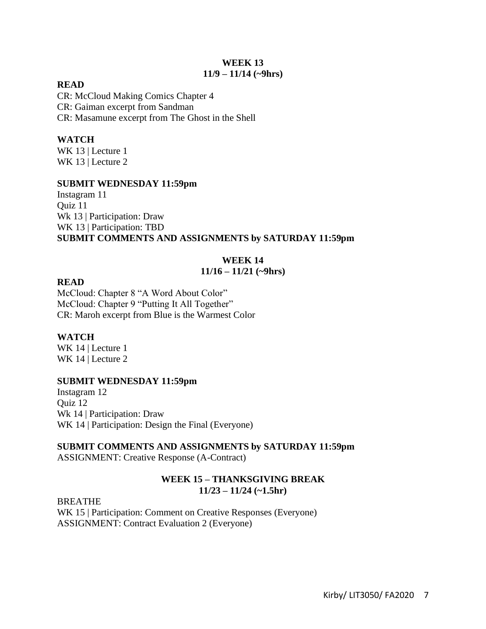#### **WEEK 13 11/9 – 11/14 (~9hrs)**

#### **READ**

CR: McCloud Making Comics Chapter 4 CR: Gaiman excerpt from Sandman CR: Masamune excerpt from The Ghost in the Shell

# **WATCH**

WK 13 | Lecture 1 WK 13 | Lecture 2

### **SUBMIT WEDNESDAY 11:59pm**

Instagram 11 Quiz 11 Wk 13 | Participation: Draw WK 13 | Participation: TBD **SUBMIT COMMENTS AND ASSIGNMENTS by SATURDAY 11:59pm**

# **WEEK 14**

# **11/16 – 11/21 (~9hrs)**

### **READ**

McCloud: Chapter 8 "A Word About Color" McCloud: Chapter 9 "Putting It All Together" CR: Maroh excerpt from Blue is the Warmest Color

# **WATCH**

WK 14 | Lecture 1 WK 14 | Lecture 2

# **SUBMIT WEDNESDAY 11:59pm**

Instagram 12 Quiz 12 Wk 14 | Participation: Draw WK 14 | Participation: Design the Final (Everyone)

# **SUBMIT COMMENTS AND ASSIGNMENTS by SATURDAY 11:59pm**

ASSIGNMENT: Creative Response (A-Contract)

# **WEEK 15 – THANKSGIVING BREAK 11/23 – 11/24 (~1.5hr)**

BREATHE WK 15 | Participation: Comment on Creative Responses (Everyone) ASSIGNMENT: Contract Evaluation 2 (Everyone)